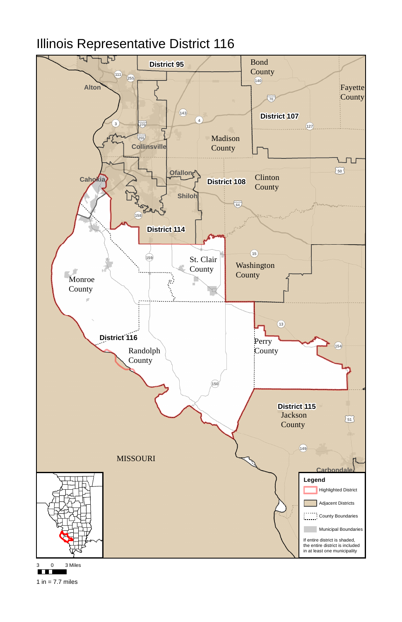

## Illinois Representative District 116





1 in  $= 7.7$  miles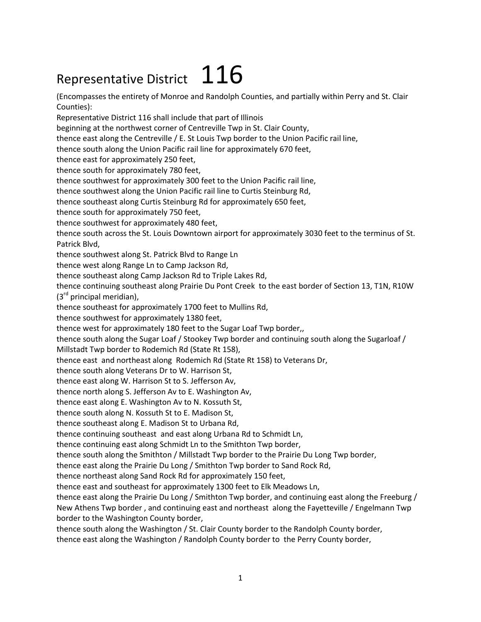## Representative District  $116$

(Encompasses the entirety of Monroe and Randolph Counties, and partially within Perry and St. Clair Counties):

Representative District 116 shall include that part of Illinois

beginning at the northwest corner of Centreville Twp in St. Clair County,

thence east along the Centreville / E. St Louis Twp border to the Union Pacific rail line,

thence south along the Union Pacific rail line for approximately 670 feet,

thence east for approximately 250 feet,

thence south for approximately 780 feet,

thence southwest for approximately 300 feet to the Union Pacific rail line,

thence southwest along the Union Pacific rail line to Curtis Steinburg Rd,

thence southeast along Curtis Steinburg Rd for approximately 650 feet,

thence south for approximately 750 feet,

thence southwest for approximately 480 feet,

thence south across the St. Louis Downtown airport for approximately 3030 feet to the terminus of St. Patrick Blvd,

thence southwest along St. Patrick Blvd to Range Ln

thence west along Range Ln to Camp Jackson Rd,

thence southeast along Camp Jackson Rd to Triple Lakes Rd,

thence continuing southeast along Prairie Du Pont Creek to the east border of Section 13, T1N, R10W  $(3<sup>rd</sup>$  principal meridian),

thence southeast for approximately 1700 feet to Mullins Rd,

thence southwest for approximately 1380 feet,

thence west for approximately 180 feet to the Sugar Loaf Twp border,,

thence south along the Sugar Loaf / Stookey Twp border and continuing south along the Sugarloaf / Millstadt Twp border to Rodemich Rd (State Rt 158),

thence east and northeast along Rodemich Rd (State Rt 158) to Veterans Dr,

thence south along Veterans Dr to W. Harrison St,

thence east along W. Harrison St to S. Jefferson Av,

thence north along S. Jefferson Av to E. Washington Av,

thence east along E. Washington Av to N. Kossuth St,

thence south along N. Kossuth St to E. Madison St,

thence southeast along E. Madison St to Urbana Rd,

thence continuing southeast and east along Urbana Rd to Schmidt Ln,

thence continuing east along Schmidt Ln to the Smithton Twp border,

thence south along the Smithton / Millstadt Twp border to the Prairie Du Long Twp border,

thence east along the Prairie Du Long / Smithton Twp border to Sand Rock Rd,

thence northeast along Sand Rock Rd for approximately 150 feet,

thence east and southeast for approximately 1300 feet to Elk Meadows Ln,

thence east along the Prairie Du Long / Smithton Twp border, and continuing east along the Freeburg / New Athens Twp border , and continuing east and northeast along the Fayetteville / Engelmann Twp

border to the Washington County border,

thence south along the Washington / St. Clair County border to the Randolph County border,

thence east along the Washington / Randolph County border to the Perry County border,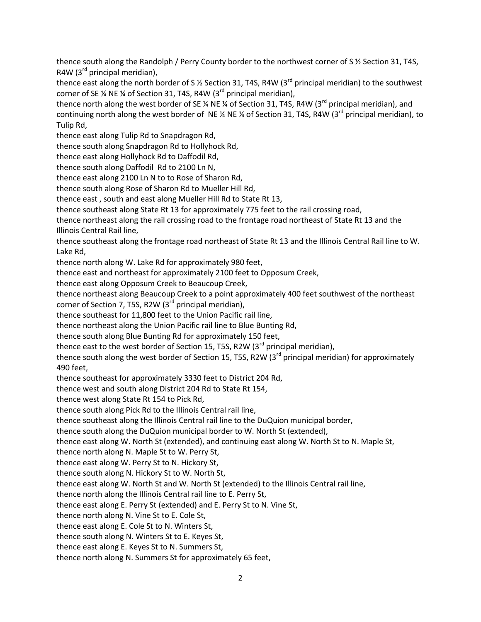thence south along the Randolph / Perry County border to the northwest corner of S ½ Section 31, T4S, R4W ( $3<sup>rd</sup>$  principal meridian),

thence east along the north border of S % Section 31, T4S, R4W (3 $^{rd}$  principal meridian) to the southwest corner of SE  $\frac{1}{4}$  NE  $\frac{1}{4}$  of Section 31, T4S, R4W (3<sup>rd</sup> principal meridian),

thence north along the west border of SE % NE % of Section 31, T4S, R4W (3<sup>rd</sup> principal meridian), and continuing north along the west border of NE % NE % of Section 31, T4S, R4W (3<sup>rd</sup> principal meridian), to Tulip Rd,

thence east along Tulip Rd to Snapdragon Rd,

thence south along Snapdragon Rd to Hollyhock Rd,

thence east along Hollyhock Rd to Daffodil Rd,

thence south along Daffodil Rd to 2100 Ln N,

thence east along 2100 Ln N to to Rose of Sharon Rd,

thence south along Rose of Sharon Rd to Mueller Hill Rd,

thence east , south and east along Mueller Hill Rd to State Rt 13,

thence southeast along State Rt 13 for approximately 775 feet to the rail crossing road,

thence northeast along the rail crossing road to the frontage road northeast of State Rt 13 and the Illinois Central Rail line,

thence southeast along the frontage road northeast of State Rt 13 and the Illinois Central Rail line to W. Lake Rd,

thence north along W. Lake Rd for approximately 980 feet,

thence east and northeast for approximately 2100 feet to Opposum Creek,

thence east along Opposum Creek to Beaucoup Creek,

thence northeast along Beaucoup Creek to a point approximately 400 feet southwest of the northeast corner of Section 7, T5S, R2W ( $3<sup>rd</sup>$  principal meridian),

thence southeast for 11,800 feet to the Union Pacific rail line,

thence northeast along the Union Pacific rail line to Blue Bunting Rd,

thence south along Blue Bunting Rd for approximately 150 feet,

thence east to the west border of Section 15, T5S, R2W ( $3<sup>rd</sup>$  principal meridian),

thence south along the west border of Section 15, T5S, R2W (3<sup>rd</sup> principal meridian) for approximately 490 feet,

thence southeast for approximately 3330 feet to District 204 Rd,

thence west and south along District 204 Rd to State Rt 154,

thence west along State Rt 154 to Pick Rd,

thence south along Pick Rd to the Illinois Central rail line,

thence southeast along the Illinois Central rail line to the DuQuion municipal border,

thence south along the DuQuion municipal border to W. North St (extended),

thence east along W. North St (extended), and continuing east along W. North St to N. Maple St,

thence north along N. Maple St to W. Perry St,

thence east along W. Perry St to N. Hickory St,

thence south along N. Hickory St to W. North St,

thence east along W. North St and W. North St (extended) to the Illinois Central rail line,

thence north along the Illinois Central rail line to E. Perry St,

thence east along E. Perry St (extended) and E. Perry St to N. Vine St,

thence north along N. Vine St to E. Cole St,

thence east along E. Cole St to N. Winters St,

thence south along N. Winters St to E. Keyes St,

thence east along E. Keyes St to N. Summers St,

thence north along N. Summers St for approximately 65 feet,